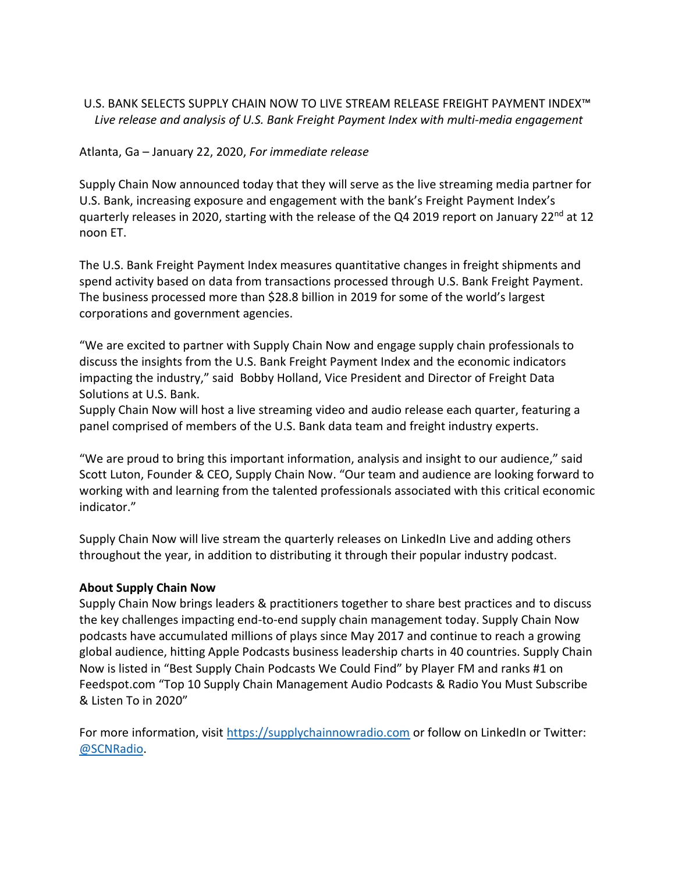## U.S. BANK SELECTS SUPPLY CHAIN NOW TO LIVE STREAM RELEASE FREIGHT PAYMENT INDEX™ *Live release and analysis of U.S. Bank Freight Payment Index with multi-media engagement*

## Atlanta, Ga – January 22, 2020, *For immediate release*

Supply Chain Now announced today that they will serve as the live streaming media partner for U.S. Bank, increasing exposure and engagement with the bank's Freight Payment Index's quarterly releases in 2020, starting with the release of the Q4 2019 report on January 22<sup>nd</sup> at 12 noon ET.

The U.S. Bank Freight Payment Index measures quantitative changes in freight shipments and spend activity based on data from transactions processed through U.S. Bank Freight Payment. The business processed more than \$28.8 billion in 2019 for some of the world's largest corporations and government agencies.

"We are excited to partner with Supply Chain Now and engage supply chain professionals to discuss the insights from the U.S. Bank Freight Payment Index and the economic indicators impacting the industry," said Bobby Holland, Vice President and Director of Freight Data Solutions at U.S. Bank.

Supply Chain Now will host a live streaming video and audio release each quarter, featuring a panel comprised of members of the U.S. Bank data team and freight industry experts.

"We are proud to bring this important information, analysis and insight to our audience," said Scott Luton, Founder & CEO, Supply Chain Now. "Our team and audience are looking forward to working with and learning from the talented professionals associated with this critical economic indicator."

Supply Chain Now will live stream the quarterly releases on LinkedIn Live and adding others throughout the year, in addition to distributing it through their popular industry podcast.

## **About Supply Chain Now**

Supply Chain Now brings leaders & practitioners together to share best practices and to discuss the key challenges impacting end-to-end supply chain management today. Supply Chain Now podcasts have accumulated millions of plays since May 2017 and continue to reach a growing global audience, hitting Apple Podcasts business leadership charts in 40 countries. Supply Chain Now is listed in "Best Supply Chain Podcasts We Could Find" by Player FM and ranks #1 on Feedspot.com "Top 10 Supply Chain Management Audio Podcasts & Radio You Must Subscribe & Listen To in 2020"

For more information, visit [https://supplychainnowradio.com](https://supplychainnowradio.com/) or follow on LinkedIn or Twitter: [@SCNRadio.](https://twitter.com/SCNRadio)